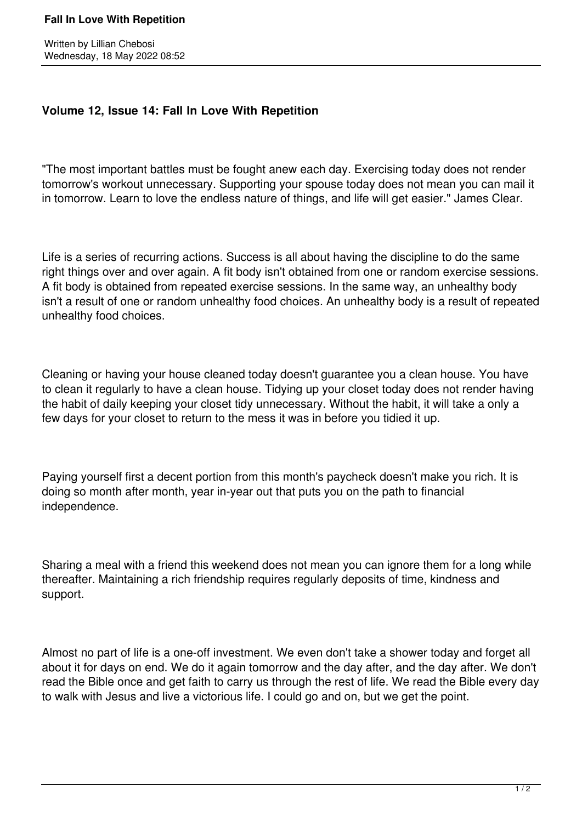## **Fall In Love With Repetition**

## **Volume 12, Issue 14: Fall In Love With Repetition**

"The most important battles must be fought anew each day. Exercising today does not render tomorrow's workout unnecessary. Supporting your spouse today does not mean you can mail it in tomorrow. Learn to love the endless nature of things, and life will get easier." James Clear.

Life is a series of recurring actions. Success is all about having the discipline to do the same right things over and over again. A fit body isn't obtained from one or random exercise sessions. A fit body is obtained from repeated exercise sessions. In the same way, an unhealthy body isn't a result of one or random unhealthy food choices. An unhealthy body is a result of repeated unhealthy food choices.

Cleaning or having your house cleaned today doesn't guarantee you a clean house. You have to clean it regularly to have a clean house. Tidying up your closet today does not render having the habit of daily keeping your closet tidy unnecessary. Without the habit, it will take a only a few days for your closet to return to the mess it was in before you tidied it up.

Paying yourself first a decent portion from this month's paycheck doesn't make you rich. It is doing so month after month, year in-year out that puts you on the path to financial independence.

Sharing a meal with a friend this weekend does not mean you can ignore them for a long while thereafter. Maintaining a rich friendship requires regularly deposits of time, kindness and support.

Almost no part of life is a one-off investment. We even don't take a shower today and forget all about it for days on end. We do it again tomorrow and the day after, and the day after. We don't read the Bible once and get faith to carry us through the rest of life. We read the Bible every day to walk with Jesus and live a victorious life. I could go and on, but we get the point.